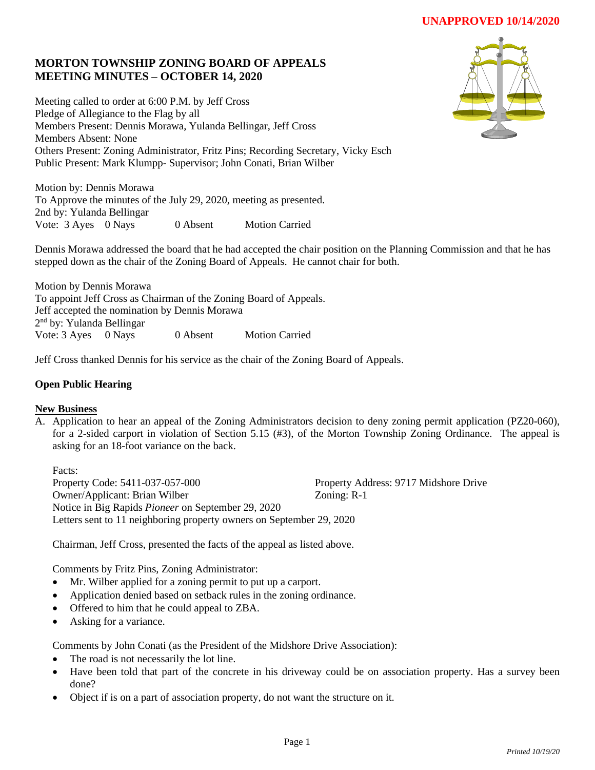# **MORTON TOWNSHIP ZONING BOARD OF APPEALS MEETING MINUTES – OCTOBER 14, 2020**

Meeting called to order at 6:00 P.M. by Jeff Cross Pledge of Allegiance to the Flag by all Members Present: Dennis Morawa, Yulanda Bellingar, Jeff Cross Members Absent: None Others Present: Zoning Administrator, Fritz Pins; Recording Secretary, Vicky Esch Public Present: Mark Klumpp- Supervisor; John Conati, Brian Wilber

Motion by: Dennis Morawa To Approve the minutes of the July 29, 2020, meeting as presented. 2nd by: Yulanda Bellingar Vote: 3 Ayes 0 Nays 0 Absent Motion Carried



Dennis Morawa addressed the board that he had accepted the chair position on the Planning Commission and that he has stepped down as the chair of the Zoning Board of Appeals. He cannot chair for both.

Motion by Dennis Morawa To appoint Jeff Cross as Chairman of the Zoning Board of Appeals. Jeff accepted the nomination by Dennis Morawa 2<sup>nd</sup> by: Yulanda Bellingar Vote: 3 Ayes 0 Nays 0 Absent Motion Carried

Jeff Cross thanked Dennis for his service as the chair of the Zoning Board of Appeals.

### **Open Public Hearing**

#### **New Business**

A. Application to hear an appeal of the Zoning Administrators decision to deny zoning permit application (PZ20-060), for a 2-sided carport in violation of Section 5.15 (#3), of the Morton Township Zoning Ordinance. The appeal is asking for an 18-foot variance on the back.

Facts: Property Code: 5411-037-057-000 Property Address: 9717 Midshore Drive Owner/Applicant: Brian Wilber Zoning: R-1 Notice in Big Rapids *Pioneer* on September 29, 2020 Letters sent to 11 neighboring property owners on September 29, 2020

Chairman, Jeff Cross, presented the facts of the appeal as listed above.

Comments by Fritz Pins, Zoning Administrator:

- Mr. Wilber applied for a zoning permit to put up a carport.
- Application denied based on setback rules in the zoning ordinance.
- Offered to him that he could appeal to ZBA.
- Asking for a variance.

Comments by John Conati (as the President of the Midshore Drive Association):

- The road is not necessarily the lot line.
- Have been told that part of the concrete in his driveway could be on association property. Has a survey been done?
- Object if is on a part of association property, do not want the structure on it.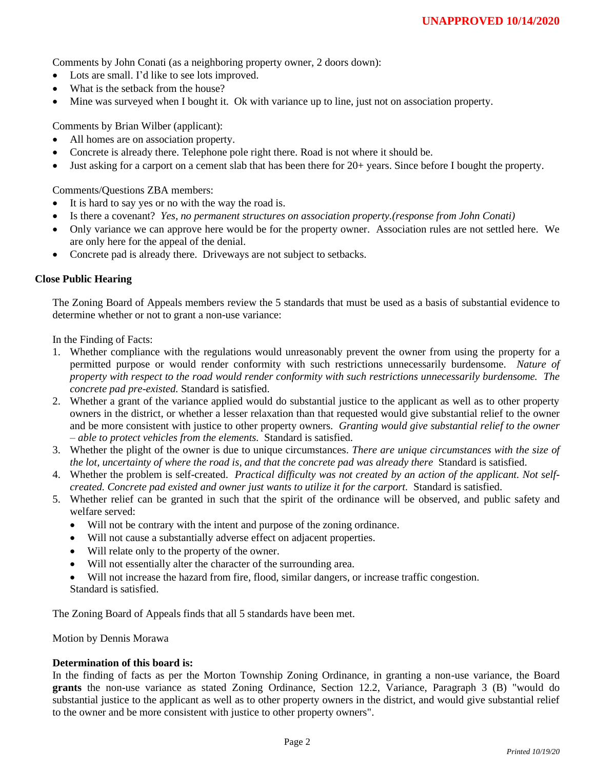Comments by John Conati (as a neighboring property owner, 2 doors down):

- Lots are small. I'd like to see lots improved.
- What is the setback from the house?
- Mine was surveyed when I bought it. Ok with variance up to line, just not on association property.

Comments by Brian Wilber (applicant):

- All homes are on association property.
- Concrete is already there. Telephone pole right there. Road is not where it should be.
- Just asking for a carport on a cement slab that has been there for 20+ years. Since before I bought the property.

Comments/Questions ZBA members:

- It is hard to say yes or no with the way the road is.
- Is there a covenant? *Yes, no permanent structures on association property.(response from John Conati)*
- Only variance we can approve here would be for the property owner. Association rules are not settled here. We are only here for the appeal of the denial.
- Concrete pad is already there. Driveways are not subject to setbacks.

#### **Close Public Hearing**

The Zoning Board of Appeals members review the 5 standards that must be used as a basis of substantial evidence to determine whether or not to grant a non-use variance:

In the Finding of Facts:

- 1. Whether compliance with the regulations would unreasonably prevent the owner from using the property for a permitted purpose or would render conformity with such restrictions unnecessarily burdensome. *Nature of property with respect to the road would render conformity with such restrictions unnecessarily burdensome. The concrete pad pre-existed.* Standard is satisfied.
- 2. Whether a grant of the variance applied would do substantial justice to the applicant as well as to other property owners in the district, or whether a lesser relaxation than that requested would give substantial relief to the owner and be more consistent with justice to other property owners. *Granting would give substantial relief to the owner – able to protect vehicles from the elements.* Standard is satisfied.
- 3. Whether the plight of the owner is due to unique circumstances. *There are unique circumstances with the size of the lot, uncertainty of where the road is, and that the concrete pad was already there* Standard is satisfied.
- 4. Whether the problem is self-created. *Practical difficulty was not created by an action of the applicant. Not selfcreated. Concrete pad existed and owner just wants to utilize it for the carport.* Standard is satisfied.
- 5. Whether relief can be granted in such that the spirit of the ordinance will be observed, and public safety and welfare served:
	- Will not be contrary with the intent and purpose of the zoning ordinance.
	- Will not cause a substantially adverse effect on adjacent properties.
	- Will relate only to the property of the owner.
	- Will not essentially alter the character of the surrounding area.
	- Will not increase the hazard from fire, flood, similar dangers, or increase traffic congestion.

Standard is satisfied.

The Zoning Board of Appeals finds that all 5 standards have been met.

Motion by Dennis Morawa

#### **Determination of this board is:**

In the finding of facts as per the Morton Township Zoning Ordinance, in granting a non-use variance, the Board **grants** the non-use variance as stated Zoning Ordinance, Section 12.2, Variance, Paragraph 3 (B) "would do substantial justice to the applicant as well as to other property owners in the district, and would give substantial relief to the owner and be more consistent with justice to other property owners".